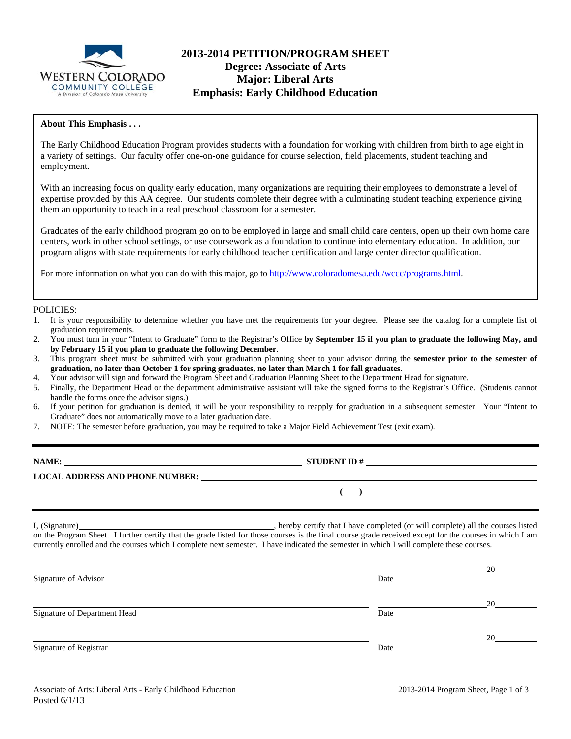

## **2013-2014 PETITION/PROGRAM SHEET Degree: Associate of Arts Major: Liberal Arts Emphasis: Early Childhood Education**

### **About This Emphasis . . .**

The Early Childhood Education Program provides students with a foundation for working with children from birth to age eight in a variety of settings. Our faculty offer one-on-one guidance for course selection, field placements, student teaching and employment.

With an increasing focus on quality early education, many organizations are requiring their employees to demonstrate a level of expertise provided by this AA degree. Our students complete their degree with a culminating student teaching experience giving them an opportunity to teach in a real preschool classroom for a semester.

Graduates of the early childhood program go on to be employed in large and small child care centers, open up their own home care centers, work in other school settings, or use coursework as a foundation to continue into elementary education. In addition, our program aligns with state requirements for early childhood teacher certification and large center director qualification.

For more information on what you can do with this major, go to http://www.coloradomesa.edu/wccc/programs.html.

#### POLICIES:

- 1. It is your responsibility to determine whether you have met the requirements for your degree. Please see the catalog for a complete list of graduation requirements.
- 2. You must turn in your "Intent to Graduate" form to the Registrar's Office **by September 15 if you plan to graduate the following May, and by February 15 if you plan to graduate the following December**.
- 3. This program sheet must be submitted with your graduation planning sheet to your advisor during the **semester prior to the semester of graduation, no later than October 1 for spring graduates, no later than March 1 for fall graduates.**
- 4. Your advisor will sign and forward the Program Sheet and Graduation Planning Sheet to the Department Head for signature.
- 5. Finally, the Department Head or the department administrative assistant will take the signed forms to the Registrar's Office. (Students cannot handle the forms once the advisor signs.)
- 6. If your petition for graduation is denied, it will be your responsibility to reapply for graduation in a subsequent semester. Your "Intent to Graduate" does not automatically move to a later graduation date.
- 7. NOTE: The semester before graduation, you may be required to take a Major Field Achievement Test (exit exam).

| NAME:                                  | <b>STUDENT ID#</b> |  |
|----------------------------------------|--------------------|--|
| <b>LOCAL ADDRESS AND PHONE NUMBER:</b> |                    |  |
|                                        |                    |  |

I, (Signature) , hereby certify that I have completed (or will complete) all the courses listed on the Program Sheet. I further certify that the grade listed for those courses is the final course grade received except for the courses in which I am currently enrolled and the courses which I complete next semester. I have indicated the semester in which I will complete these courses.

|                              |      | 20 |
|------------------------------|------|----|
| Signature of Advisor         | Date |    |
|                              |      | 20 |
| Signature of Department Head | Date |    |
|                              |      | 20 |
| Signature of Registrar       | Date |    |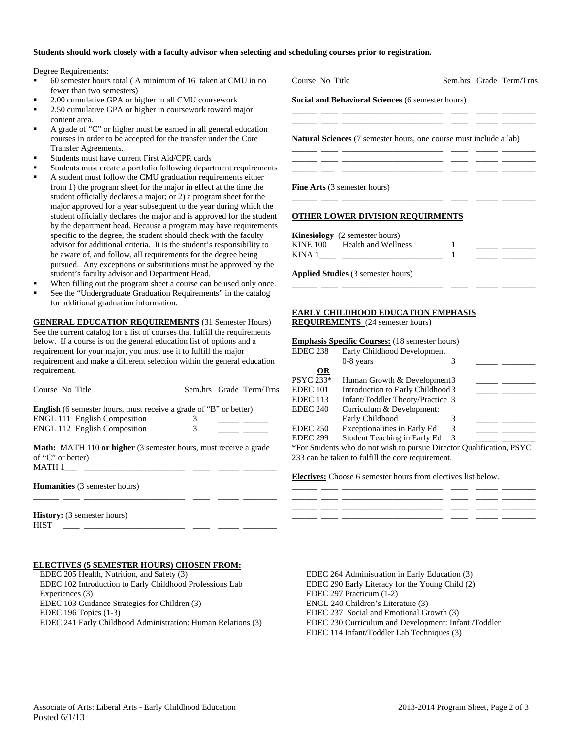#### **Students should work closely with a faculty advisor when selecting and scheduling courses prior to registration.**

Degree Requirements:

- 60 semester hours total ( A minimum of 16 taken at CMU in no fewer than two semesters)
- 2.00 cumulative GPA or higher in all CMU coursework
- 2.50 cumulative GPA or higher in coursework toward major content area.
- A grade of "C" or higher must be earned in all general education courses in order to be accepted for the transfer under the Core Transfer Agreements.
- Students must have current First Aid/CPR cards
- Students must create a portfolio following department requirements
- A student must follow the CMU graduation requirements either from 1) the program sheet for the major in effect at the time the student officially declares a major; or 2) a program sheet for the major approved for a year subsequent to the year during which the student officially declares the major and is approved for the student by the department head. Because a program may have requirements specific to the degree, the student should check with the faculty advisor for additional criteria. It is the student's responsibility to be aware of, and follow, all requirements for the degree being pursued. Any exceptions or substitutions must be approved by the student's faculty advisor and Department Head.
- When filling out the program sheet a course can be used only once.
- See the "Undergraduate Graduation Requirements" in the catalog for additional graduation information.

**GENERAL EDUCATION REQUIREMENTS** (31 Semester Hours) See the current catalog for a list of courses that fulfill the requirements below. If a course is on the general education list of options and a requirement for your major, you must use it to fulfill the major requirement and make a different selection within the general education requirement.

| Course No Title                                                                                        |   | Sem.hrs Grade Term/Trns |
|--------------------------------------------------------------------------------------------------------|---|-------------------------|
| <b>English</b> (6 semester hours, must receive a grade of "B" or better)                               |   |                         |
| <b>ENGL 111 English Composition</b>                                                                    |   |                         |
| <b>ENGL 112 English Composition</b>                                                                    | 3 |                         |
| <b>Math:</b> MATH 110 or higher (3 semester hours, must receive a grade<br>of "C" or better)<br>MATH 1 |   |                         |
| <b>Humanities</b> (3 semester hours)                                                                   |   |                         |
|                                                                                                        |   |                         |
| <b>History:</b> (3 semester hours)<br><b>HIST</b>                                                      |   |                         |

#### **ELECTIVES (5 SEMESTER HOURS) CHOSEN FROM:**

 EDEC 205 Health, Nutrition, and Safety (3) EDEC 102 Introduction to Early Childhood Professions Lab Experiences (3) EDEC 103 Guidance Strategies for Children (3) EDEC 196 Topics (1-3) EDEC 241 Early Childhood Administration: Human Relations (3)

| Course No Title                           |                                                                                                                                                                                                                                                            |        | Sem.hrs Grade Term/Trns |
|-------------------------------------------|------------------------------------------------------------------------------------------------------------------------------------------------------------------------------------------------------------------------------------------------------------|--------|-------------------------|
|                                           | Social and Behavioral Sciences (6 semester hours)<br><u> 1989 - Johann Barn, mars ann an t-Amhain ann an t-A</u>                                                                                                                                           |        |                         |
|                                           | <b>Natural Sciences</b> (7 semester hours, one course must include a lab)<br><u> 1989 - Johann Stein, mars et al. 1989 - Anna ann an t-Anna ann an t-Anna ann an t-Anna ann an t-Anna ann an t-</u><br><u> 2000 - Andrea Andrews, amerikansk politik (</u> |        |                         |
|                                           | <u> 1999 - Andrea American American (1999 - 1999 - 1999 - 1999 - 1999 - 1999 - 1999 - 1999 - 1999 - 1999 - 1999 -</u><br><b>Fine Arts</b> (3 semester hours)                                                                                               |        |                         |
|                                           | <b>OTHER LOWER DIVISION REQUIRMENTS</b>                                                                                                                                                                                                                    |        |                         |
|                                           | <b>Kinesiology</b> (2 semester hours)<br>KINE 100 Health and Wellness                                                                                                                                                                                      | 1<br>1 |                         |
|                                           | <b>Applied Studies</b> (3 semester hours)                                                                                                                                                                                                                  |        |                         |
|                                           | <b>EARLY CHILDHOOD EDUCATION EMPHASIS</b>                                                                                                                                                                                                                  |        |                         |
|                                           | <b>REQUIREMENTS</b> (24 semester hours)<br><b>Emphasis Specific Courses:</b> (18 semester hours)                                                                                                                                                           |        |                         |
| <b>EDEC 238</b>                           | Early Childhood Development<br>$0-8$ years                                                                                                                                                                                                                 | 3      |                         |
| <b>OR</b><br><b>PSYC 233*</b><br>EDEC 101 | Human Growth & Development 3<br>Introduction to Early Childhood 3                                                                                                                                                                                          |        |                         |
| <b>EDEC 113</b>                           | Infant/Toddler Theory/Practice 3                                                                                                                                                                                                                           |        |                         |

| EDEC 101            | Introduction to Early Childhood 3                                                                                                                                            |   |  |
|---------------------|------------------------------------------------------------------------------------------------------------------------------------------------------------------------------|---|--|
| EDEC <sub>113</sub> | Infant/Toddler Theory/Practice 3                                                                                                                                             |   |  |
| <b>EDEC 240</b>     | Curriculum & Development:                                                                                                                                                    |   |  |
|                     | Early Childhood                                                                                                                                                              |   |  |
| <b>EDEC 250</b>     | Exceptionalities in Early Ed                                                                                                                                                 | 3 |  |
| <b>EDEC 299</b>     | Student Teaching in Early Ed                                                                                                                                                 | 3 |  |
|                     | $*E_{\text{out}}$ $\theta_{\text{tot}}$ denotes the set of the state $\theta$ contains $\theta$ and $\theta_{\text{out}}$ if $\theta_{\text{out}}$ and $\theta_{\text{out}}$ |   |  |

\*For Students who do not wish to pursue Director Qualification, PSYC 233 can be taken to fulfill the core requirement.

#### **Electives:** Choose 6 semester hours from electives list below.



 EDEC 264 Administration in Early Education (3) EDEC 290 Early Literacy for the Young Child (2) EDEC 297 Practicum (1-2) ENGL 240 Children's Literature (3) EDEC 237 Social and Emotional Growth (3) EDEC 230 Curriculum and Development: Infant /Toddler EDEC 114 Infant/Toddler Lab Techniques (3)